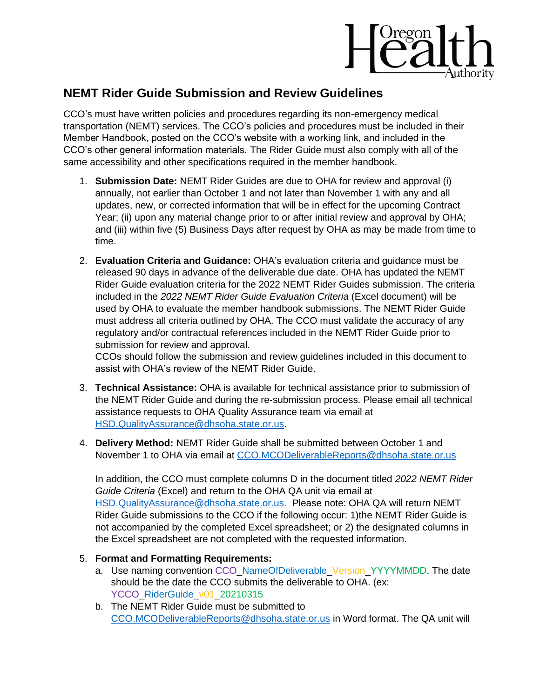

## **NEMT Rider Guide Submission and Review Guidelines**

CCO's must have written policies and procedures regarding its non-emergency medical transportation (NEMT) services. The CCO's policies and procedures must be included in their Member Handbook, posted on the CCO's website with a working link, and included in the CCO's other general information materials. The Rider Guide must also comply with all of the same accessibility and other specifications required in the member handbook.

- 1. **Submission Date:** NEMT Rider Guides are due to OHA for review and approval (i) annually, not earlier than October 1 and not later than November 1 with any and all updates, new, or corrected information that will be in effect for the upcoming Contract Year; (ii) upon any material change prior to or after initial review and approval by OHA; and (iii) within five (5) Business Days after request by OHA as may be made from time to time.
- 2. **Evaluation Criteria and Guidance:** OHA's evaluation criteria and guidance must be released 90 days in advance of the deliverable due date. OHA has updated the NEMT Rider Guide evaluation criteria for the 2022 NEMT Rider Guides submission. The criteria included in the *2022 NEMT Rider Guide Evaluation Criteria* (Excel document) will be used by OHA to evaluate the member handbook submissions. The NEMT Rider Guide must address all criteria outlined by OHA. The CCO must validate the accuracy of any regulatory and/or contractual references included in the NEMT Rider Guide prior to submission for review and approval.

CCOs should follow the submission and review guidelines included in this document to assist with OHA's review of the NEMT Rider Guide.

- 3. **Technical Assistance:** OHA is available for technical assistance prior to submission of the NEMT Rider Guide and during the re-submission process. Please email all technical assistance requests to OHA Quality Assurance team via email at [HSD.QualityAssurance@dhsoha.state.or.us.](mailto:HSD.QualityAssurance@dhsoha.state.or.us)
- 4. **Delivery Method:** NEMT Rider Guide shall be submitted between October 1 and November 1 to OHA via email at [CCO.MCODeliverableReports@dhsoha.state.or.us](mailto:CCO.MCODeliverableReports@dhsoha.state.or.us)

In addition, the CCO must complete columns D in the document titled *2022 NEMT Rider Guide Criteria* (Excel) and return to the OHA QA unit via email at [HSD.QualityAssurance@dhsoha.state.or.us.](mailto:HSD.QualityAssurance@dhsoha.state.or.us) Please note: OHA QA will return NEMT Rider Guide submissions to the CCO if the following occur: 1)the NEMT Rider Guide is not accompanied by the completed Excel spreadsheet; or 2) the designated columns in the Excel spreadsheet are not completed with the requested information.

## 5. **Format and Formatting Requirements:**

- a. Use naming convention CCO\_NameOfDeliverable\_Version\_YYYYMMDD. The date should be the date the CCO submits the deliverable to OHA. (ex: YCCO\_RiderGuide\_v01\_20210315
- b. The NEMT Rider Guide must be submitted to [CCO.MCODeliverableReports@dhsoha.state.or.us](mailto:CCO.MCODeliverableReports@dhsoha.state.or.us) in Word format. The QA unit will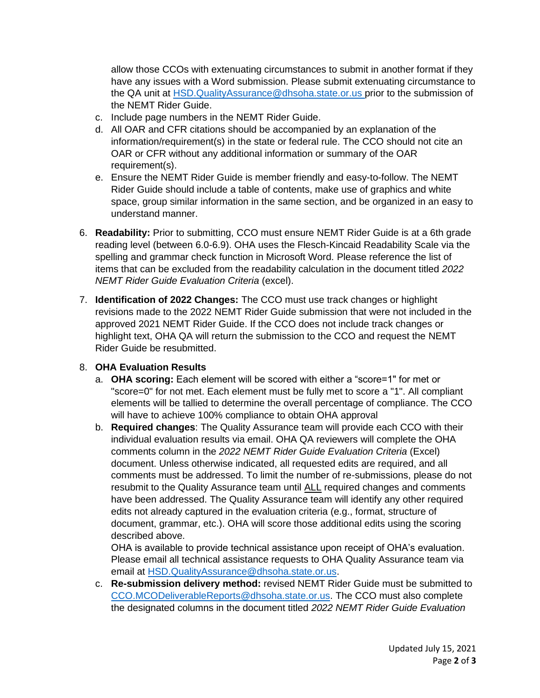allow those CCOs with extenuating circumstances to submit in another format if they have any issues with a Word submission. Please submit extenuating circumstance to the QA unit at [HSD.QualityAssurance@dhsoha.state.or.us](mailto:HSD.QualityAssurance@dhsoha.state.or.us) prior to the submission of the NEMT Rider Guide.

- c. Include page numbers in the NEMT Rider Guide.
- d. All OAR and CFR citations should be accompanied by an explanation of the information/requirement(s) in the state or federal rule. The CCO should not cite an OAR or CFR without any additional information or summary of the OAR requirement(s).
- e. Ensure the NEMT Rider Guide is member friendly and easy-to-follow. The NEMT Rider Guide should include a table of contents, make use of graphics and white space, group similar information in the same section, and be organized in an easy to understand manner.
- 6. **Readability:** Prior to submitting, CCO must ensure NEMT Rider Guide is at a 6th grade reading level (between 6.0-6.9). OHA uses the Flesch-Kincaid Readability Scale via the spelling and grammar check function in Microsoft Word. Please reference the list of items that can be excluded from the readability calculation in the document titled *2022 NEMT Rider Guide Evaluation Criteria* (excel).
- 7. **Identification of 2022 Changes:** The CCO must use track changes or highlight revisions made to the 2022 NEMT Rider Guide submission that were not included in the approved 2021 NEMT Rider Guide. If the CCO does not include track changes or highlight text, OHA QA will return the submission to the CCO and request the NEMT Rider Guide be resubmitted.

## 8. **OHA Evaluation Results**

- a. **OHA scoring:** Each element will be scored with either a "score=1" for met or "score=0" for not met. Each element must be fully met to score a "1". All compliant elements will be tallied to determine the overall percentage of compliance. The CCO will have to achieve 100% compliance to obtain OHA approval
- b. **Required changes**: The Quality Assurance team will provide each CCO with their individual evaluation results via email. OHA QA reviewers will complete the OHA comments column in the *2022 NEMT Rider Guide Evaluation Criteria* (Excel) document. Unless otherwise indicated, all requested edits are required, and all comments must be addressed. To limit the number of re-submissions, please do not resubmit to the Quality Assurance team until ALL required changes and comments have been addressed. The Quality Assurance team will identify any other required edits not already captured in the evaluation criteria (e.g., format, structure of document, grammar, etc.). OHA will score those additional edits using the scoring described above.

OHA is available to provide technical assistance upon receipt of OHA's evaluation. Please email all technical assistance requests to OHA Quality Assurance team via email at [HSD.QualityAssurance@dhsoha.state.or.us.](mailto:HSD.QualityAssurance@dhsoha.state.or.us)

c. **Re-submission delivery method:** revised NEMT Rider Guide must be submitted to [CCO.MCODeliverableReports@dhsoha.state.or.us.](mailto:CCO.MCODeliverableReports@dhsoha.state.or.us) The CCO must also complete the designated columns in the document titled *2022 NEMT Rider Guide Evaluation*